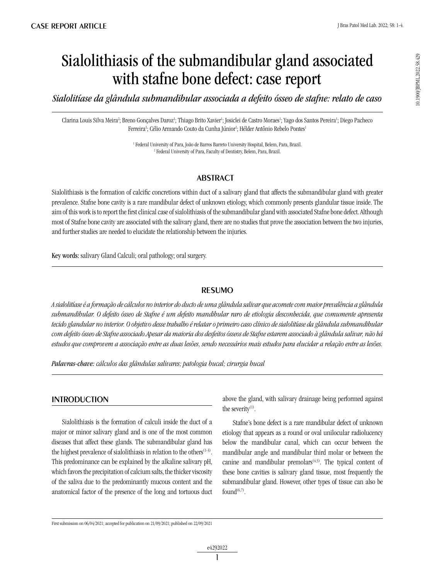# Sialolithiasis of the submandibular gland associated with stafne bone defect: case report

*Sialolitíase da glândula submandibular associada a defeito ósseo de stafne: relato de caso*

Clarina Louis Silva Meira<sup>2</sup>; Breno Gonçalves Daroz<sup>ı</sup>; Thiago Brito Xavier<sup>ı</sup>; Josiclei de Castro Moraes<sup>ı</sup>; Yago dos Santos Pereira<sup>1</sup>; Diego Pacheco Ferreira<sup>1</sup>; Célio Armando Couto da Cunha Júnior<sup>1</sup>; Hélder Antônio Rebelo Pontes<sup>1</sup>

> <sup>1</sup> Federal University of Para, João de Barros Barreto University Hospital, Belem, Para, Brazil. 2 Federal University of Para, Faculty of Dentistry, Belem, Para, Brazil.

## **ABSTRACT**

Sialolithiasis is the formation of calcific concretions within duct of a salivary gland that affects the submandibular gland with greater prevalence. Stafne bone cavity is a rare mandibular defect of unknown etiology, which commonly presents glandular tissue inside. The aim of this work is to report the first clinical case of sialolithiasis of the submandibular gland with associated Stafne bone defect. Although most of Stafne bone cavity are associated with the salivary gland, there are no studies that prove the association between the two injuries, and further studies are needed to elucidate the relationship between the injuries.

Key words: salivary Gland Calculi; oral pathology; oral surgery.

## resumo

*A sialolitíase é a formação de cálculos no interior do ducto de uma glândula salivar que acomete com maior prevalência a glândula submandibular. O defeito ósseo de Stafne é um defeito mandibular raro de etiologia desconhecida, que comumente apresenta tecido glandular no interior. O objetivo desse trabalho é relatar o primeiro caso clínico de sialolitíase da glândula submandibular com defeito ósseo de Stafne associado.Apesar da maioria dos desfeitos ósseos de Stafne estarem associado à glândula salivar, não há estudos que comprovem a associação entre as duas lesões, sendo necessários mais estudos para elucidar a relação entre as lesões.*

*Palavras-chave: cálculos das glândulas salivares; patologia bucal; cirurgia bucal*

## **INTRODUCTION**

Sialolithiasis is the formation of calculi inside the duct of a major or minor salivary gland and is one of the most common diseases that affect these glands. The submandibular gland has the highest prevalence of sialolithiasis in relation to the others<sup>(1-3)</sup>. This predominance can be explained by the alkaline salivary pH, which favors the precipitation of calcium salts, the thicker viscosity of the saliva due to the predominantly mucous content and the anatomical factor of the presence of the long and tortuous duct above the gland, with salivary drainage being performed against the severity $(1)$ .

Stafne's bone defect is a rare mandibular defect of unknown etiology that appears as a round or oval unilocular radiolucency below the mandibular canal, which can occur between the mandibular angle and mandibular third molar or between the canine and mandibular premolars $(4,5)$ . The typical content of these bone cavities is salivary gland tissue, most frequently the submandibular gland. However, other types of tissue can also be found $(6,7)$ .

10.1900/JBPML.2022.58.429

First submission on 06/04/2021; accepted for publication on 21/09/2021; published on 22/09/2021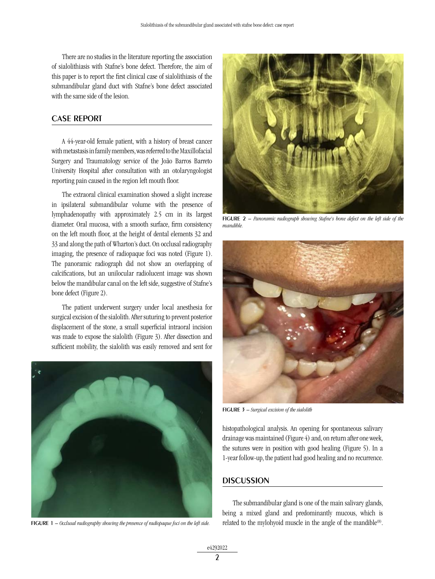There are no studies in the literature reporting the association of sialolithiasis with Stafne's bone defect. Therefore, the aim of this paper is to report the first clinical case of sialolithiasis of the submandibular gland duct with Stafne's bone defect associated with the same side of the lesion.

#### CASE REPORT

A 44-year-old female patient, with a history of breast cancer with metastasis in family members, was referred to the Maxillofacial Surgery and Traumatology service of the João Barros Barreto University Hospital after consultation with an otolaryngologist reporting pain caused in the region left mouth floor.

The extraoral clinical examination showed a slight increase in ipsilateral submandibular volume with the presence of lymphadenopathy with approximately 2.5 cm in its largest diameter. Oral mucosa, with a smooth surface, firm consistency on the left mouth floor, at the height of dental elements 32 and 33 and along the path of Wharton's duct. On occlusal radiography imaging, the presence of radiopaque foci was noted (Figure 1). The panoramic radiograph did not show an overlapping of calcifications, but an unilocular radiolucent image was shown below the mandibular canal on the left side, suggestive of Stafne's bone defect (Figure 2).

The patient underwent surgery under local anesthesia for surgical excision of the sialolith. After suturing to prevent posterior displacement of the stone, a small superficial intraoral incision was made to expose the sialolith (Figure 3). After dissection and sufficient mobility, the sialolith was easily removed and sent for



figure 1 – *Occlusal radiography showing the presence of radiopaque foci on the left side.*



figure 2 – *Panoramic radiograph showing Stafne's bone defect on the left side of the mandible.*



figure 3 – *Surgical excision of the sialolith*

histopathological analysis. An opening for spontaneous salivary drainage was maintained (Figure 4) and, on return after one week, the sutures were in position with good healing (Figure 5). In a 1-year follow-up, the patient had good healing and no recurrence.

#### **DISCUSSION**

The submandibular gland is one of the main salivary glands, being a mixed gland and predominantly mucous, which is related to the mylohyoid muscle in the angle of the mandible<sup>(8)</sup>.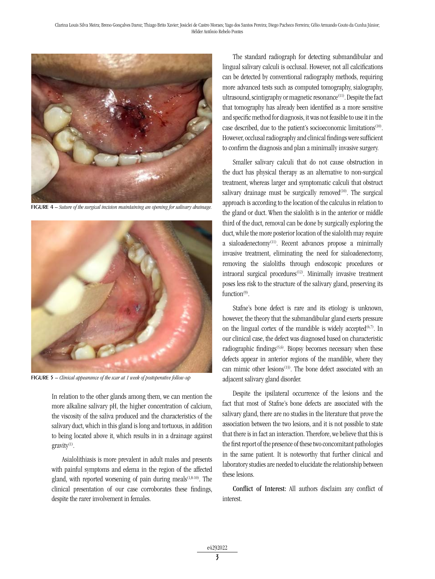

figure 4 – *Suture of the surgical incision maintaining an opening for salivary drainage.*



figure 5 – *Clinical appearance of the scar at 1 week of postoperative follow-up*

In relation to the other glands among them, we can mention the more alkaline salivary pH, the higher concentration of calcium, the viscosity of the saliva produced and the characteristics of the salivary duct, which in this gland is long and tortuous, in addition to being located above it, which results in in a drainage against gravity<sup>(1)</sup>.

Asialolithiasis is more prevalent in adult males and presents with painful symptoms and edema in the region of the affected gland, with reported worsening of pain during meals<sup>(1,8-10)</sup>. The clinical presentation of our case corroborates these findings, despite the rarer involvement in females.

The standard radiograph for detecting submandibular and lingual salivary calculi is occlusal. However, not all calcifications can be detected by conventional radiography methods, requiring more advanced tests such as computed tomography, sialography, ultrasound, scintigraphy or magnetic resonance<sup>(11)</sup>. Despite the fact that tomography has already been identified as a more sensitive and specific method for diagnosis, it was not feasible to use it in the case described, due to the patient's socioeconomic limitations<sup>(10)</sup>. However, occlusal radiography and clinical findings were sufficient to confirm the diagnosis and plan a minimally invasive surgery.

Smaller salivary calculi that do not cause obstruction in the duct has physical therapy as an alternative to non-surgical treatment, whereas larger and symptomatic calculi that obstruct salivary drainage must be surgically removed<sup>(10)</sup>. The surgical approach is according to the location of the calculus in relation to the gland or duct. When the sialolith is in the anterior or middle third of the duct, removal can be done by surgically exploring the duct, while the more posterior location of the sialolith may require a sialoadenectomy(11). Recent advances propose a minimally invasive treatment, eliminating the need for sialoadenectomy, removing the sialoliths through endoscopic procedures or intraoral surgical procedures<sup>(12)</sup>. Minimally invasive treatment poses less risk to the structure of the salivary gland, preserving its function $(9)$ .

Stafne's bone defect is rare and its etiology is unknown, however, the theory that the submandibular gland exerts pressure on the lingual cortex of the mandible is widely accepted $(6,7)$ . In our clinical case, the defect was diagnosed based on characteristic radiographic findings<sup> $(5,6)$ </sup>. Biopsy becomes necessary when these defects appear in anterior regions of the mandible, where they can mimic other lesions<sup> $(13)$ </sup>. The bone defect associated with an adjacent salivary gland disorder.

Despite the ipsilateral occurrence of the lesions and the fact that most of Stafne's bone defects are associated with the salivary gland, there are no studies in the literature that prove the association between the two lesions, and it is not possible to state that there is in fact an interaction. Therefore, we believe that this is the first report of the presence of these two concomitant pathologies in the same patient. It is noteworthy that further clinical and laboratory studies are needed to elucidate the relationship between these lesions.

Conflict of Interest: All authors disclaim any conflict of interest.